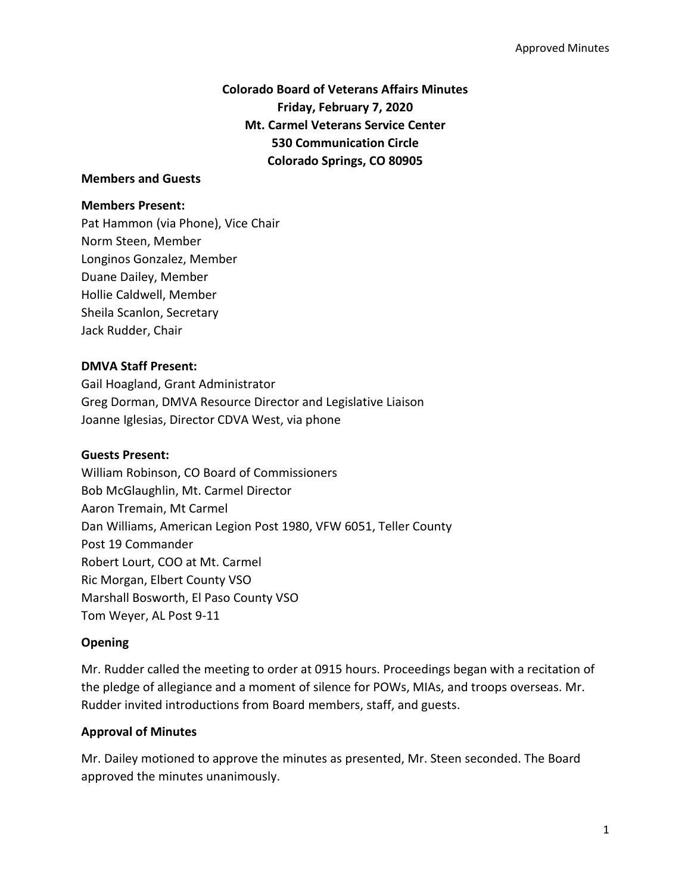# **Colorado Board of Veterans Affairs Minutes Friday, February 7, 2020 Mt. Carmel Veterans Service Center 530 Communication Circle Colorado Springs, CO 80905**

#### **Members and Guests**

#### **Members Present:**

Pat Hammon (via Phone), Vice Chair Norm Steen, Member Longinos Gonzalez, Member Duane Dailey, Member Hollie Caldwell, Member Sheila Scanlon, Secretary Jack Rudder, Chair

### **DMVA Staff Present:**

Gail Hoagland, Grant Administrator Greg Dorman, DMVA Resource Director and Legislative Liaison Joanne Iglesias, Director CDVA West, via phone

### **Guests Present:**

William Robinson, CO Board of Commissioners Bob McGlaughlin, Mt. Carmel Director Aaron Tremain, Mt Carmel Dan Williams, American Legion Post 1980, VFW 6051, Teller County Post 19 Commander Robert Lourt, COO at Mt. Carmel Ric Morgan, Elbert County VSO Marshall Bosworth, El Paso County VSO Tom Weyer, AL Post 9-11

### **Opening**

Mr. Rudder called the meeting to order at 0915 hours. Proceedings began with a recitation of the pledge of allegiance and a moment of silence for POWs, MIAs, and troops overseas. Mr. Rudder invited introductions from Board members, staff, and guests.

### **Approval of Minutes**

Mr. Dailey motioned to approve the minutes as presented, Mr. Steen seconded. The Board approved the minutes unanimously.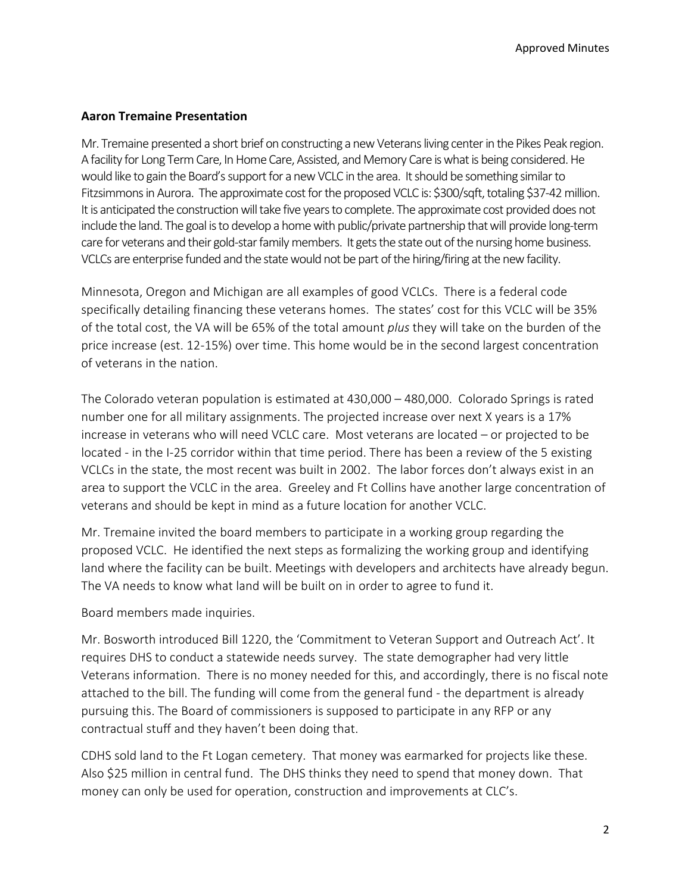### **Aaron Tremaine Presentation**

Mr. Tremaine presented a short brief on constructing a new Veterans living center in the Pikes Peak region. A facility for Long Term Care, In Home Care, Assisted, and Memory Care is what is being considered.He would like to gain the Board's support for a new VCLC in the area. It should be something similar to Fitzsimmons in Aurora. The approximate cost for the proposed VCLC is: \$300/sqft, totaling \$37-42 million. It is anticipated the construction will take five years to complete. The approximate cost provided does not include the land. The goal is to develop a home with public/private partnership that will provide long-term care for veterans and their gold-star family members. It gets the state out of the nursing home business. VCLCs are enterprise funded and the state would not be part of the hiring/firing at the new facility.

Minnesota, Oregon and Michigan are all examples of good VCLCs. There is a federal code specifically detailing financing these veterans homes. The states' cost for this VCLC will be 35% of the total cost, the VA will be 65% of the total amount *plus* they will take on the burden of the price increase (est. 12-15%) over time. This home would be in the second largest concentration of veterans in the nation.

The Colorado veteran population is estimated at 430,000 – 480,000. Colorado Springs is rated number one for all military assignments. The projected increase over next X years is a 17% increase in veterans who will need VCLC care. Most veterans are located – or projected to be located - in the I-25 corridor within that time period. There has been a review of the 5 existing VCLCs in the state, the most recent was built in 2002. The labor forces don't always exist in an area to support the VCLC in the area. Greeley and Ft Collins have another large concentration of veterans and should be kept in mind as a future location for another VCLC.

Mr. Tremaine invited the board members to participate in a working group regarding the proposed VCLC. He identified the next steps as formalizing the working group and identifying land where the facility can be built. Meetings with developers and architects have already begun. The VA needs to know what land will be built on in order to agree to fund it.

Board members made inquiries.

Mr. Bosworth introduced Bill 1220, the 'Commitment to Veteran Support and Outreach Act'. It requires DHS to conduct a statewide needs survey. The state demographer had very little Veterans information. There is no money needed for this, and accordingly, there is no fiscal note attached to the bill. The funding will come from the general fund - the department is already pursuing this. The Board of commissioners is supposed to participate in any RFP or any contractual stuff and they haven't been doing that.

CDHS sold land to the Ft Logan cemetery. That money was earmarked for projects like these. Also \$25 million in central fund. The DHS thinks they need to spend that money down. That money can only be used for operation, construction and improvements at CLC's.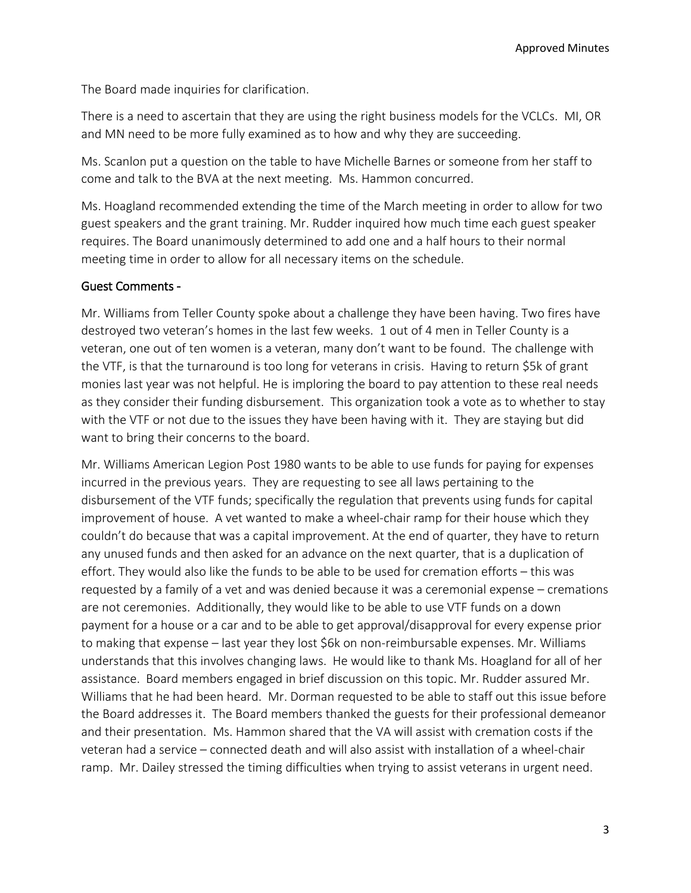The Board made inquiries for clarification.

There is a need to ascertain that they are using the right business models for the VCLCs. MI, OR and MN need to be more fully examined as to how and why they are succeeding.

Ms. Scanlon put a question on the table to have Michelle Barnes or someone from her staff to come and talk to the BVA at the next meeting. Ms. Hammon concurred.

Ms. Hoagland recommended extending the time of the March meeting in order to allow for two guest speakers and the grant training. Mr. Rudder inquired how much time each guest speaker requires. The Board unanimously determined to add one and a half hours to their normal meeting time in order to allow for all necessary items on the schedule.

### Guest Comments -

Mr. Williams from Teller County spoke about a challenge they have been having. Two fires have destroyed two veteran's homes in the last few weeks. 1 out of 4 men in Teller County is a veteran, one out of ten women is a veteran, many don't want to be found. The challenge with the VTF, is that the turnaround is too long for veterans in crisis. Having to return \$5k of grant monies last year was not helpful. He is imploring the board to pay attention to these real needs as they consider their funding disbursement. This organization took a vote as to whether to stay with the VTF or not due to the issues they have been having with it. They are staying but did want to bring their concerns to the board.

Mr. Williams American Legion Post 1980 wants to be able to use funds for paying for expenses incurred in the previous years. They are requesting to see all laws pertaining to the disbursement of the VTF funds; specifically the regulation that prevents using funds for capital improvement of house. A vet wanted to make a wheel-chair ramp for their house which they couldn't do because that was a capital improvement. At the end of quarter, they have to return any unused funds and then asked for an advance on the next quarter, that is a duplication of effort. They would also like the funds to be able to be used for cremation efforts – this was requested by a family of a vet and was denied because it was a ceremonial expense – cremations are not ceremonies. Additionally, they would like to be able to use VTF funds on a down payment for a house or a car and to be able to get approval/disapproval for every expense prior to making that expense – last year they lost \$6k on non-reimbursable expenses. Mr. Williams understands that this involves changing laws. He would like to thank Ms. Hoagland for all of her assistance. Board members engaged in brief discussion on this topic. Mr. Rudder assured Mr. Williams that he had been heard. Mr. Dorman requested to be able to staff out this issue before the Board addresses it. The Board members thanked the guests for their professional demeanor and their presentation. Ms. Hammon shared that the VA will assist with cremation costs if the veteran had a service – connected death and will also assist with installation of a wheel-chair ramp. Mr. Dailey stressed the timing difficulties when trying to assist veterans in urgent need.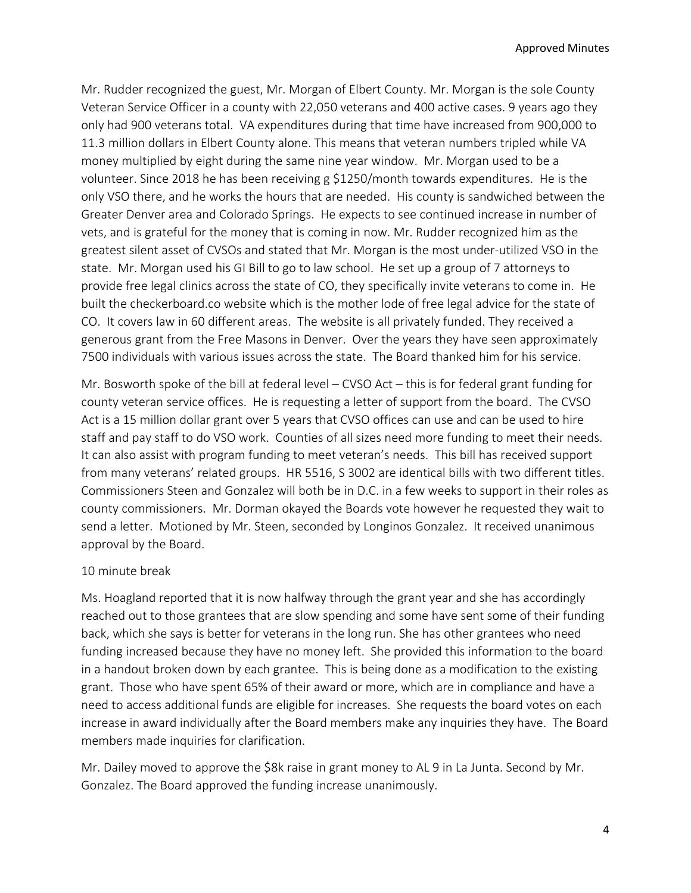Mr. Rudder recognized the guest, Mr. Morgan of Elbert County. Mr. Morgan is the sole County Veteran Service Officer in a county with 22,050 veterans and 400 active cases. 9 years ago they only had 900 veterans total. VA expenditures during that time have increased from 900,000 to 11.3 million dollars in Elbert County alone. This means that veteran numbers tripled while VA money multiplied by eight during the same nine year window. Mr. Morgan used to be a volunteer. Since 2018 he has been receiving g \$1250/month towards expenditures. He is the only VSO there, and he works the hours that are needed. His county is sandwiched between the Greater Denver area and Colorado Springs. He expects to see continued increase in number of vets, and is grateful for the money that is coming in now. Mr. Rudder recognized him as the greatest silent asset of CVSOs and stated that Mr. Morgan is the most under-utilized VSO in the state. Mr. Morgan used his GI Bill to go to law school. He set up a group of 7 attorneys to provide free legal clinics across the state of CO, they specifically invite veterans to come in. He built the checkerboard.co website which is the mother lode of free legal advice for the state of CO. It covers law in 60 different areas. The website is all privately funded. They received a generous grant from the Free Masons in Denver. Over the years they have seen approximately 7500 individuals with various issues across the state. The Board thanked him for his service.

Mr. Bosworth spoke of the bill at federal level – CVSO Act – this is for federal grant funding for county veteran service offices. He is requesting a letter of support from the board. The CVSO Act is a 15 million dollar grant over 5 years that CVSO offices can use and can be used to hire staff and pay staff to do VSO work. Counties of all sizes need more funding to meet their needs. It can also assist with program funding to meet veteran's needs. This bill has received support from many veterans' related groups. HR 5516, S 3002 are identical bills with two different titles. Commissioners Steen and Gonzalez will both be in D.C. in a few weeks to support in their roles as county commissioners. Mr. Dorman okayed the Boards vote however he requested they wait to send a letter. Motioned by Mr. Steen, seconded by Longinos Gonzalez. It received unanimous approval by the Board.

#### 10 minute break

Ms. Hoagland reported that it is now halfway through the grant year and she has accordingly reached out to those grantees that are slow spending and some have sent some of their funding back, which she says is better for veterans in the long run. She has other grantees who need funding increased because they have no money left. She provided this information to the board in a handout broken down by each grantee. This is being done as a modification to the existing grant. Those who have spent 65% of their award or more, which are in compliance and have a need to access additional funds are eligible for increases. She requests the board votes on each increase in award individually after the Board members make any inquiries they have. The Board members made inquiries for clarification.

Mr. Dailey moved to approve the \$8k raise in grant money to AL 9 in La Junta. Second by Mr. Gonzalez. The Board approved the funding increase unanimously.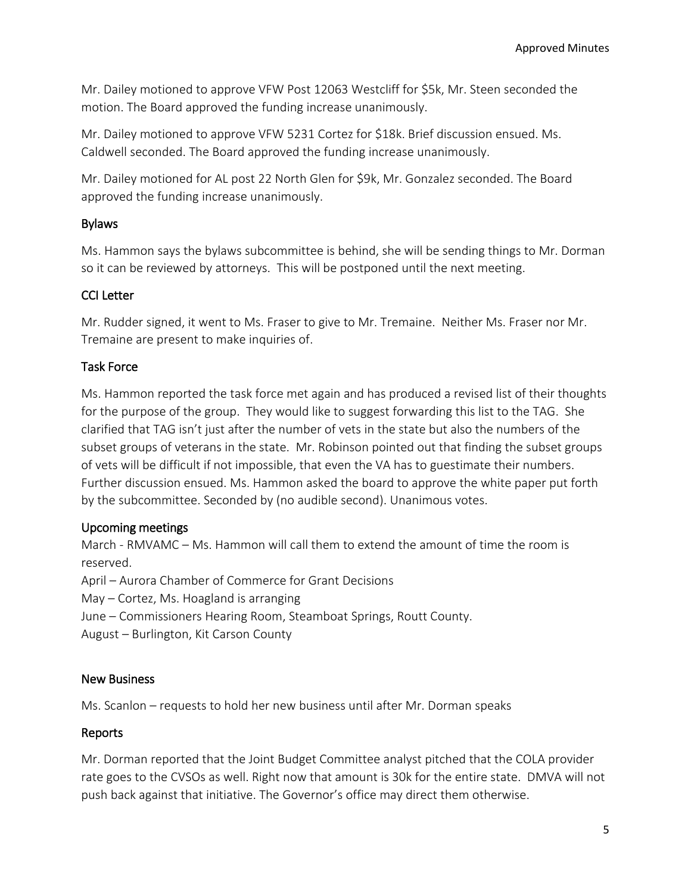Mr. Dailey motioned to approve VFW Post 12063 Westcliff for \$5k, Mr. Steen seconded the motion. The Board approved the funding increase unanimously.

Mr. Dailey motioned to approve VFW 5231 Cortez for \$18k. Brief discussion ensued. Ms. Caldwell seconded. The Board approved the funding increase unanimously.

Mr. Dailey motioned for AL post 22 North Glen for \$9k, Mr. Gonzalez seconded. The Board approved the funding increase unanimously.

## Bylaws

Ms. Hammon says the bylaws subcommittee is behind, she will be sending things to Mr. Dorman so it can be reviewed by attorneys. This will be postponed until the next meeting.

## CCI Letter

Mr. Rudder signed, it went to Ms. Fraser to give to Mr. Tremaine. Neither Ms. Fraser nor Mr. Tremaine are present to make inquiries of.

## Task Force

Ms. Hammon reported the task force met again and has produced a revised list of their thoughts for the purpose of the group. They would like to suggest forwarding this list to the TAG. She clarified that TAG isn't just after the number of vets in the state but also the numbers of the subset groups of veterans in the state. Mr. Robinson pointed out that finding the subset groups of vets will be difficult if not impossible, that even the VA has to guestimate their numbers. Further discussion ensued. Ms. Hammon asked the board to approve the white paper put forth by the subcommittee. Seconded by (no audible second). Unanimous votes.

## Upcoming meetings

March - RMVAMC – Ms. Hammon will call them to extend the amount of time the room is reserved. April – Aurora Chamber of Commerce for Grant Decisions

May – Cortez, Ms. Hoagland is arranging

June – Commissioners Hearing Room, Steamboat Springs, Routt County.

August – Burlington, Kit Carson County

## New Business

Ms. Scanlon – requests to hold her new business until after Mr. Dorman speaks

## Reports

Mr. Dorman reported that the Joint Budget Committee analyst pitched that the COLA provider rate goes to the CVSOs as well. Right now that amount is 30k for the entire state. DMVA will not push back against that initiative. The Governor's office may direct them otherwise.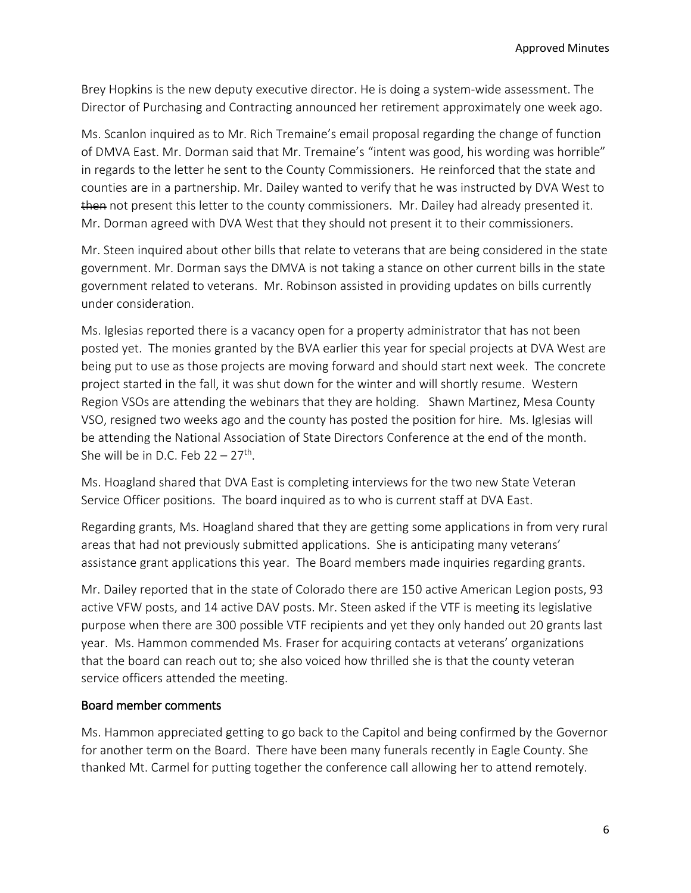Brey Hopkins is the new deputy executive director. He is doing a system-wide assessment. The Director of Purchasing and Contracting announced her retirement approximately one week ago.

Ms. Scanlon inquired as to Mr. Rich Tremaine's email proposal regarding the change of function of DMVA East. Mr. Dorman said that Mr. Tremaine's "intent was good, his wording was horrible" in regards to the letter he sent to the County Commissioners. He reinforced that the state and counties are in a partnership. Mr. Dailey wanted to verify that he was instructed by DVA West to then not present this letter to the county commissioners. Mr. Dailey had already presented it. Mr. Dorman agreed with DVA West that they should not present it to their commissioners.

Mr. Steen inquired about other bills that relate to veterans that are being considered in the state government. Mr. Dorman says the DMVA is not taking a stance on other current bills in the state government related to veterans. Mr. Robinson assisted in providing updates on bills currently under consideration.

Ms. Iglesias reported there is a vacancy open for a property administrator that has not been posted yet. The monies granted by the BVA earlier this year for special projects at DVA West are being put to use as those projects are moving forward and should start next week. The concrete project started in the fall, it was shut down for the winter and will shortly resume. Western Region VSOs are attending the webinars that they are holding. Shawn Martinez, Mesa County VSO, resigned two weeks ago and the county has posted the position for hire. Ms. Iglesias will be attending the National Association of State Directors Conference at the end of the month. She will be in D.C. Feb  $22 - 27$ <sup>th</sup>.

Ms. Hoagland shared that DVA East is completing interviews for the two new State Veteran Service Officer positions. The board inquired as to who is current staff at DVA East.

Regarding grants, Ms. Hoagland shared that they are getting some applications in from very rural areas that had not previously submitted applications. She is anticipating many veterans' assistance grant applications this year. The Board members made inquiries regarding grants.

Mr. Dailey reported that in the state of Colorado there are 150 active American Legion posts, 93 active VFW posts, and 14 active DAV posts. Mr. Steen asked if the VTF is meeting its legislative purpose when there are 300 possible VTF recipients and yet they only handed out 20 grants last year. Ms. Hammon commended Ms. Fraser for acquiring contacts at veterans' organizations that the board can reach out to; she also voiced how thrilled she is that the county veteran service officers attended the meeting.

## Board member comments

Ms. Hammon appreciated getting to go back to the Capitol and being confirmed by the Governor for another term on the Board. There have been many funerals recently in Eagle County. She thanked Mt. Carmel for putting together the conference call allowing her to attend remotely.